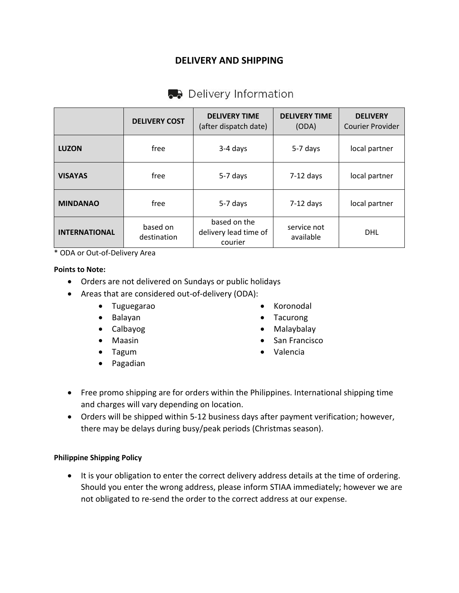## **DELIVERY AND SHIPPING**

|                      | <b>DELIVERY COST</b>    | <b>DELIVERY TIME</b><br>(after dispatch date)    | <b>DELIVERY TIME</b><br>(ODA) | <b>DELIVERY</b><br><b>Courier Provider</b> |
|----------------------|-------------------------|--------------------------------------------------|-------------------------------|--------------------------------------------|
| <b>LUZON</b>         | free                    | 3-4 days                                         | 5-7 days                      | local partner                              |
| <b>VISAYAS</b>       | free                    | 5-7 days                                         | $7-12$ days                   | local partner                              |
| <b>MINDANAO</b>      | free                    | 5-7 days                                         | $7-12$ days                   | local partner                              |
| <b>INTERNATIONAL</b> | based on<br>destination | based on the<br>delivery lead time of<br>courier | service not<br>available      | <b>DHL</b>                                 |

Delivery Information

\* ODA or Out-of-Delivery Area

## **Points to Note:**

- Orders are not delivered on Sundays or public holidays
- Areas that are considered out-of-delivery (ODA):
	- Tuguegarao Koronodal
	-
	-
	-
	-
	- Pagadian
- 
- Balayan **Calacter Contract Contract Contract Contract Contract Contract Contract Contract Contract Contract Contract Contract Contract Contract Contract Contract Contract Contract Contract Contract Contract Contract Cont**
- Calbayog **Malaybalay**
- Maasin San Francisco
- Tagum Valencia
- Free promo shipping are for orders within the Philippines. International shipping time and charges will vary depending on location.
- Orders will be shipped within 5-12 business days after payment verification; however, there may be delays during busy/peak periods (Christmas season).

## **Philippine Shipping Policy**

 It is your obligation to enter the correct delivery address details at the time of ordering. Should you enter the wrong address, please inform STIAA immediately; however we are not obligated to re-send the order to the correct address at our expense.